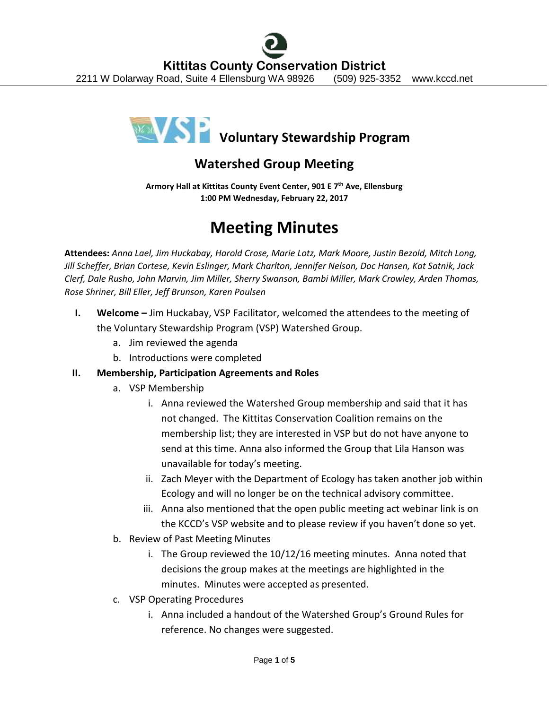

# **Watershed Group Meeting**

**Armory Hall at Kittitas County Event Center, 901 E 7th Ave, Ellensburg 1:00 PM Wednesday, February 22, 2017**

# **Meeting Minutes**

**Attendees:** *Anna Lael, Jim Huckabay, Harold Crose, Marie Lotz, Mark Moore, Justin Bezold, Mitch Long, Jill Scheffer, Brian Cortese, Kevin Eslinger, Mark Charlton, Jennifer Nelson, Doc Hansen, Kat Satnik, Jack Clerf, Dale Rusho, John Marvin, Jim Miller, Sherry Swanson, Bambi Miller, Mark Crowley, Arden Thomas, Rose Shriner, Bill Eller, Jeff Brunson, Karen Poulsen*

- **I. Welcome –** Jim Huckabay, VSP Facilitator, welcomed the attendees to the meeting of the Voluntary Stewardship Program (VSP) Watershed Group.
	- a. Jim reviewed the agenda
	- b. Introductions were completed

# **II. Membership, Participation Agreements and Roles**

- a. VSP Membership
	- i. Anna reviewed the Watershed Group membership and said that it has not changed. The Kittitas Conservation Coalition remains on the membership list; they are interested in VSP but do not have anyone to send at this time. Anna also informed the Group that Lila Hanson was unavailable for today's meeting.
	- ii. Zach Meyer with the Department of Ecology has taken another job within Ecology and will no longer be on the technical advisory committee.
	- iii. Anna also mentioned that the open public meeting act webinar link is on the KCCD's VSP website and to please review if you haven't done so yet.
- b. Review of Past Meeting Minutes
	- i. The Group reviewed the 10/12/16 meeting minutes. Anna noted that decisions the group makes at the meetings are highlighted in the minutes. Minutes were accepted as presented.
- c. VSP Operating Procedures
	- i. Anna included a handout of the Watershed Group's Ground Rules for reference. No changes were suggested.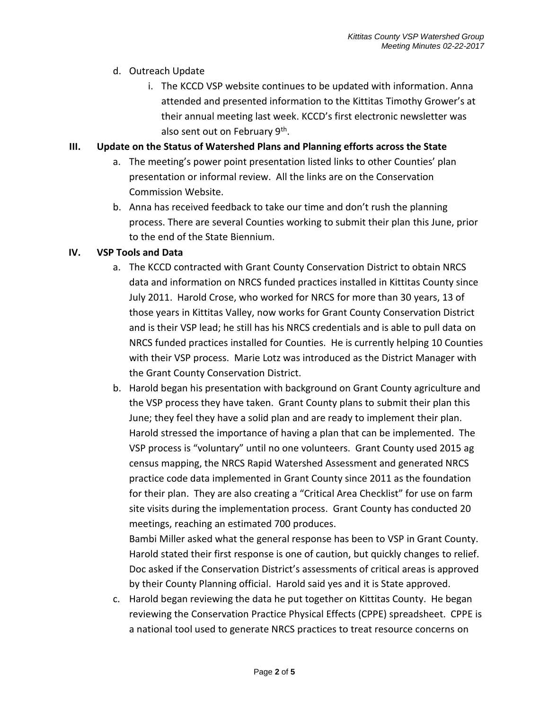# d. Outreach Update

i. The KCCD VSP website continues to be updated with information. Anna attended and presented information to the Kittitas Timothy Grower's at their annual meeting last week. KCCD's first electronic newsletter was also sent out on February 9<sup>th</sup>.

# **III. Update on the Status of Watershed Plans and Planning efforts across the State**

- a. The meeting's power point presentation listed links to other Counties' plan presentation or informal review. All the links are on the Conservation Commission Website.
- b. Anna has received feedback to take our time and don't rush the planning process. There are several Counties working to submit their plan this June, prior to the end of the State Biennium.

# **IV. VSP Tools and Data**

- a. The KCCD contracted with Grant County Conservation District to obtain NRCS data and information on NRCS funded practices installed in Kittitas County since July 2011. Harold Crose, who worked for NRCS for more than 30 years, 13 of those years in Kittitas Valley, now works for Grant County Conservation District and is their VSP lead; he still has his NRCS credentials and is able to pull data on NRCS funded practices installed for Counties. He is currently helping 10 Counties with their VSP process. Marie Lotz was introduced as the District Manager with the Grant County Conservation District.
- b. Harold began his presentation with background on Grant County agriculture and the VSP process they have taken. Grant County plans to submit their plan this June; they feel they have a solid plan and are ready to implement their plan. Harold stressed the importance of having a plan that can be implemented. The VSP process is "voluntary" until no one volunteers. Grant County used 2015 ag census mapping, the NRCS Rapid Watershed Assessment and generated NRCS practice code data implemented in Grant County since 2011 as the foundation for their plan. They are also creating a "Critical Area Checklist" for use on farm site visits during the implementation process. Grant County has conducted 20 meetings, reaching an estimated 700 produces.

Bambi Miller asked what the general response has been to VSP in Grant County. Harold stated their first response is one of caution, but quickly changes to relief. Doc asked if the Conservation District's assessments of critical areas is approved by their County Planning official. Harold said yes and it is State approved.

c. Harold began reviewing the data he put together on Kittitas County. He began reviewing the Conservation Practice Physical Effects (CPPE) spreadsheet. CPPE is a national tool used to generate NRCS practices to treat resource concerns on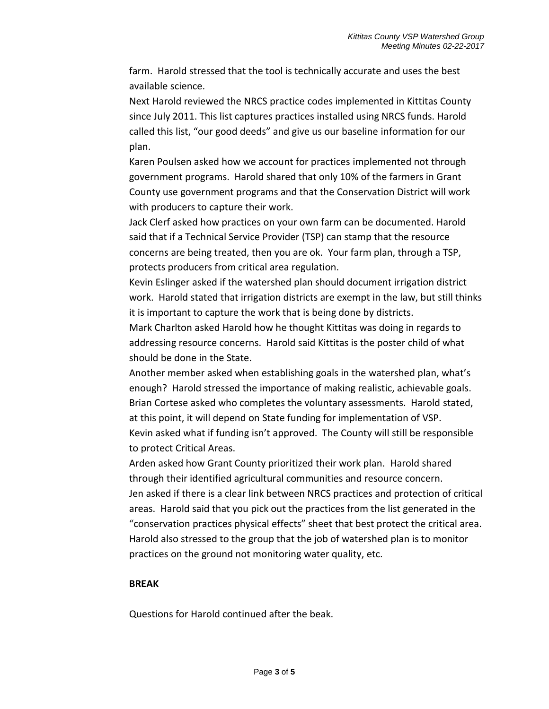farm. Harold stressed that the tool is technically accurate and uses the best available science.

Next Harold reviewed the NRCS practice codes implemented in Kittitas County since July 2011. This list captures practices installed using NRCS funds. Harold called this list, "our good deeds" and give us our baseline information for our plan.

Karen Poulsen asked how we account for practices implemented not through government programs. Harold shared that only 10% of the farmers in Grant County use government programs and that the Conservation District will work with producers to capture their work.

Jack Clerf asked how practices on your own farm can be documented. Harold said that if a Technical Service Provider (TSP) can stamp that the resource concerns are being treated, then you are ok. Your farm plan, through a TSP, protects producers from critical area regulation.

Kevin Eslinger asked if the watershed plan should document irrigation district work. Harold stated that irrigation districts are exempt in the law, but still thinks it is important to capture the work that is being done by districts.

Mark Charlton asked Harold how he thought Kittitas was doing in regards to addressing resource concerns. Harold said Kittitas is the poster child of what should be done in the State.

Another member asked when establishing goals in the watershed plan, what's enough? Harold stressed the importance of making realistic, achievable goals. Brian Cortese asked who completes the voluntary assessments. Harold stated, at this point, it will depend on State funding for implementation of VSP. Kevin asked what if funding isn't approved. The County will still be responsible to protect Critical Areas.

Arden asked how Grant County prioritized their work plan. Harold shared through their identified agricultural communities and resource concern. Jen asked if there is a clear link between NRCS practices and protection of critical areas. Harold said that you pick out the practices from the list generated in the "conservation practices physical effects" sheet that best protect the critical area. Harold also stressed to the group that the job of watershed plan is to monitor practices on the ground not monitoring water quality, etc.

### **BREAK**

Questions for Harold continued after the beak.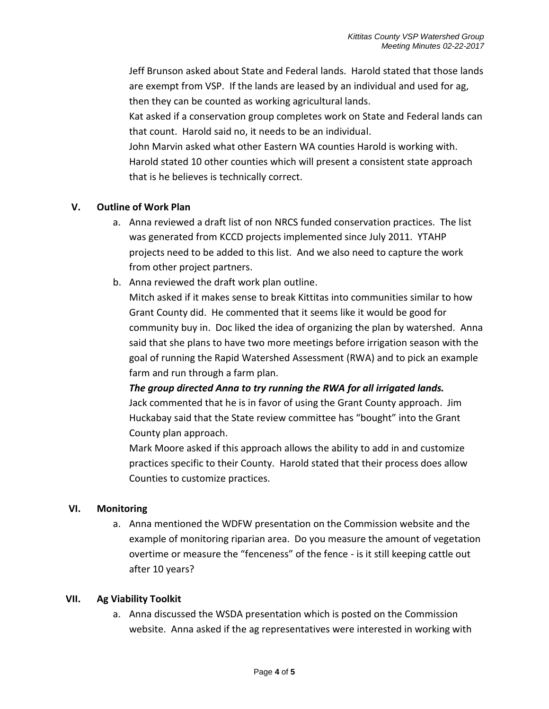Jeff Brunson asked about State and Federal lands. Harold stated that those lands are exempt from VSP. If the lands are leased by an individual and used for ag, then they can be counted as working agricultural lands.

Kat asked if a conservation group completes work on State and Federal lands can that count. Harold said no, it needs to be an individual.

John Marvin asked what other Eastern WA counties Harold is working with. Harold stated 10 other counties which will present a consistent state approach that is he believes is technically correct.

# **V. Outline of Work Plan**

- a. Anna reviewed a draft list of non NRCS funded conservation practices. The list was generated from KCCD projects implemented since July 2011. YTAHP projects need to be added to this list. And we also need to capture the work from other project partners.
- b. Anna reviewed the draft work plan outline.

Mitch asked if it makes sense to break Kittitas into communities similar to how Grant County did. He commented that it seems like it would be good for community buy in. Doc liked the idea of organizing the plan by watershed. Anna said that she plans to have two more meetings before irrigation season with the goal of running the Rapid Watershed Assessment (RWA) and to pick an example farm and run through a farm plan.

*The group directed Anna to try running the RWA for all irrigated lands.* Jack commented that he is in favor of using the Grant County approach. Jim Huckabay said that the State review committee has "bought" into the Grant County plan approach.

Mark Moore asked if this approach allows the ability to add in and customize practices specific to their County. Harold stated that their process does allow Counties to customize practices.

# **VI. Monitoring**

a. Anna mentioned the WDFW presentation on the Commission website and the example of monitoring riparian area. Do you measure the amount of vegetation overtime or measure the "fenceness" of the fence - is it still keeping cattle out after 10 years?

### **VII. Ag Viability Toolkit**

a. Anna discussed the WSDA presentation which is posted on the Commission website. Anna asked if the ag representatives were interested in working with